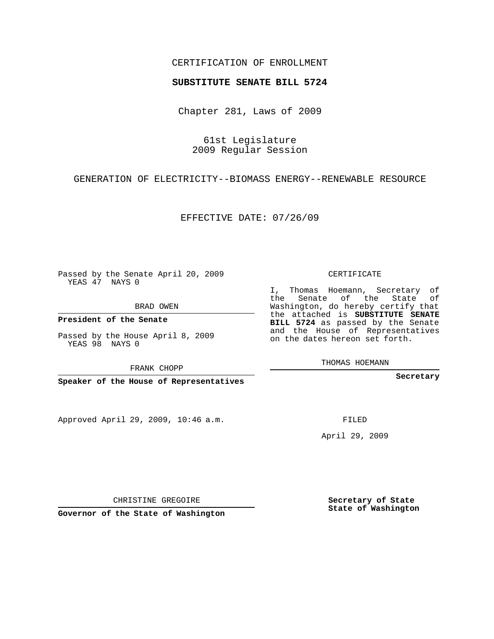## CERTIFICATION OF ENROLLMENT

## **SUBSTITUTE SENATE BILL 5724**

Chapter 281, Laws of 2009

61st Legislature 2009 Regular Session

GENERATION OF ELECTRICITY--BIOMASS ENERGY--RENEWABLE RESOURCE

EFFECTIVE DATE: 07/26/09

Passed by the Senate April 20, 2009 YEAS 47 NAYS 0

BRAD OWEN

**President of the Senate**

Passed by the House April 8, 2009 YEAS 98 NAYS 0

FRANK CHOPP

**Speaker of the House of Representatives**

Approved April 29, 2009, 10:46 a.m.

CERTIFICATE

I, Thomas Hoemann, Secretary of the Senate of the State of Washington, do hereby certify that the attached is **SUBSTITUTE SENATE BILL 5724** as passed by the Senate and the House of Representatives on the dates hereon set forth.

THOMAS HOEMANN

**Secretary**

FILED

April 29, 2009

**Secretary of State State of Washington**

CHRISTINE GREGOIRE

**Governor of the State of Washington**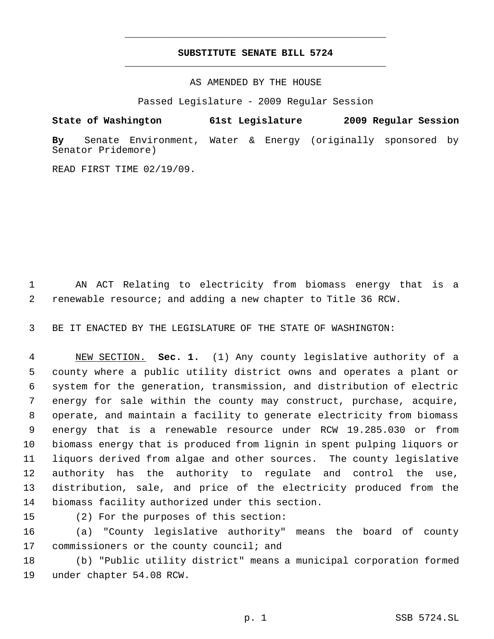## **SUBSTITUTE SENATE BILL 5724** \_\_\_\_\_\_\_\_\_\_\_\_\_\_\_\_\_\_\_\_\_\_\_\_\_\_\_\_\_\_\_\_\_\_\_\_\_\_\_\_\_\_\_\_\_

\_\_\_\_\_\_\_\_\_\_\_\_\_\_\_\_\_\_\_\_\_\_\_\_\_\_\_\_\_\_\_\_\_\_\_\_\_\_\_\_\_\_\_\_\_

AS AMENDED BY THE HOUSE

Passed Legislature - 2009 Regular Session

**State of Washington 61st Legislature 2009 Regular Session By** Senate Environment, Water & Energy (originally sponsored by

READ FIRST TIME 02/19/09.

Senator Pridemore)

 AN ACT Relating to electricity from biomass energy that is a renewable resource; and adding a new chapter to Title 36 RCW.

BE IT ENACTED BY THE LEGISLATURE OF THE STATE OF WASHINGTON:

 NEW SECTION. **Sec. 1.** (1) Any county legislative authority of a county where a public utility district owns and operates a plant or system for the generation, transmission, and distribution of electric energy for sale within the county may construct, purchase, acquire, operate, and maintain a facility to generate electricity from biomass energy that is a renewable resource under RCW 19.285.030 or from biomass energy that is produced from lignin in spent pulping liquors or liquors derived from algae and other sources. The county legislative authority has the authority to regulate and control the use, distribution, sale, and price of the electricity produced from the biomass facility authorized under this section.

(2) For the purposes of this section:

 (a) "County legislative authority" means the board of county 17 commissioners or the county council; and

 (b) "Public utility district" means a municipal corporation formed under chapter 54.08 RCW.